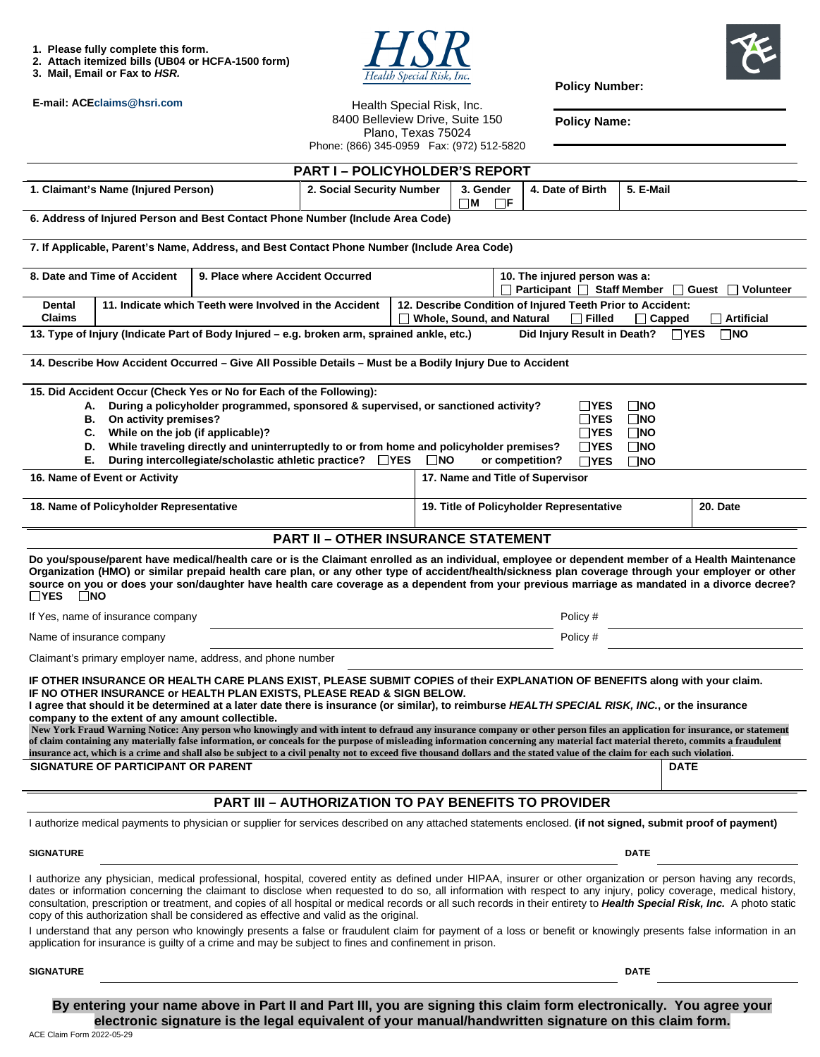**1. Please fully complete this form.** 

- **2. Attach itemized bills (UB04 or HCFA-1500 form)**
- **3. Mail, Email or Fax to** *HSR.*





**Policy Number:** 

**Policy Name:** 

Health Special Risk, Inc. 8400 Belleview Drive, Suite 150 Plano, Texas 75024

**PART I – POLICYHOLDER'S REPORT** 1. Claimant's Name (Injured Person) **2. Social Security Number | 3. Gender M F 4. Date of Birth | 5. E-Mail 6. Address of Injured Person and Best Contact Phone Number (Include Area Code) 7. If Applicable, Parent's Name, Address, and Best Contact Phone Number (Include Area Code)**  8. Date and Time of Accident 9. Place where Accident Occurred **10. The injured person was a:** □ Participant □ Staff Member □ Guest □ Volunteer **Dental Claims 11. Indicate which Teeth were Involved in the Accident 12. Describe Condition of Injured Teeth Prior to Accident: Whole, Sound, and Natural Filled Capped Artificial 13. Type of Injury (Indicate Part of Body Injured – e.g. broken arm, sprained ankle, etc.)** Did Injury Result in Death? □YES □NO **14. Describe How Accident Occurred – Give All Possible Details – Must be a Bodily Injury Due to Accident 15. Did Accident Occur (Check Yes or No for Each of the Following): A. During a policyholder programmed, sponsored & supervised, or sanctioned activity? B. On activity premises? C. While on the job (if applicable)? D. While traveling directly and uninterruptedly to or from home and policyholder premises? E.** During intercollegiate/scholastic athletic practice?  $\Box$ YES  $\Box$ NO or competition? **NO YES** NO **YES NO TYES TNO YES NO TYES NO** 16. Name of Event or Activity **17. Name and Title of Supervisor** 17. Name and Title of Supervisor 18. Name of Policyholder Representative **19. Interventive 19. Title of Policyholder Representative** 20. Date **PART II – OTHER INSURANCE STATEMENT Do you/spouse/parent have medical/health care or is the Claimant enrolled as an individual, employee or dependent member of a Health Maintenance Organization (HMO) or similar prepaid health care plan, or any other type of accident/health/sickness plan coverage through your employer or other source on you or does your son/daughter have health care coverage as a dependent from your previous marriage as mandated in a divorce decree? TYES NO** If Yes, name of insurance company Policy # Name of insurance company **Policy #** Policy #  $P$ olicy #  $P$ olicy #  $P$ olicy #  $P$ olicy #  $P$ olicy #  $P$ olicy #  $P$ Claimant's primary employer name, address, and phone number **IF OTHER INSURANCE OR HEALTH CARE PLANS EXIST, PLEASE SUBMIT COPIES of their EXPLANATION OF BENEFITS along with your claim. IF NO OTHER INSURANCE or HEALTH PLAN EXISTS, PLEASE READ & SIGN BELOW. I agree that should it be determined at a later date there is insurance (or similar), to reimburse** *HEALTH SPECIAL RISK, INC.***, or the insurance company to the extent of any amount collectible. New York Fraud Warning Notice: Any person who knowingly and with intent to defraud any insurance company or other person files an application for insurance, or statement of claim containing any materially false information, or conceals for the purpose of misleading information concerning any material fact material thereto, commits a fraudulent insurance act, which is a crime and shall also be subject to a civil penalty not to exceed five thousand dollars and the stated value of the claim for each such violation. SIGNATURE OF PARTICIPANT OR PARENT DE REGULAR SERVICE SERVICE SERVICE SERVICE SERVICE SERVICE SERVICE SERVICE S PART III – AUTHORIZATION TO PAY BENEFITS TO PROVIDER**  I authorize medical payments to physician or supplier for services described on any attached statements enclosed. **(if not signed, submit proof of payment) SIGNATURE DATE** DATE DATE AND SERVICE SERVICE SERVICE SERVICE SERVICE SERVICE SERVICE SERVICE SERVICE SERVICE SERVICE SERVICE SERVICE SERVICE SERVICE SERVICE SERVICE SERVICE SERVICE SERVICE SERVICE SERVICE SERVICE SERVICE I authorize any physician, medical professional, hospital, covered entity as defined under HIPAA, insurer or other organization or person having any records, Phone: (866) 345-0959 Fax: (972) 512-5820

dates or information concerning the claimant to disclose when requested to do so, all information with respect to any injury, policy coverage, medical history, consultation, prescription or treatment, and copies of all hospital or medical records or all such records in their entirety to *Health Special Risk, Inc.* A photo static copy of this authorization shall be considered as effective and valid as the original.

I understand that any person who knowingly presents a false or fraudulent claim for payment of a loss or benefit or knowingly presents false information in an application for insurance is guilty of a crime and may be subject to fines and confinement in prison.

**SIGNATURE DATE** DATE DATE OF A SERIES AND SERIES OF A SERIES OF A SERIES OF A SERIES OF A SERIES OF A SERIES OF A SERIES OF A SERIES OF A SERIES OF A SERIES OF A SERIES OF A SERIES OF A SERIES OF A SERIES OF A SERIES OF A

ACE Claim Form 2022-05-29 **By entering your name above in Part II and Part III, you are signing this claim form electronically. You agree your electronic signature is the legal equivalent of your manual/handwritten signature on this claim form.** 

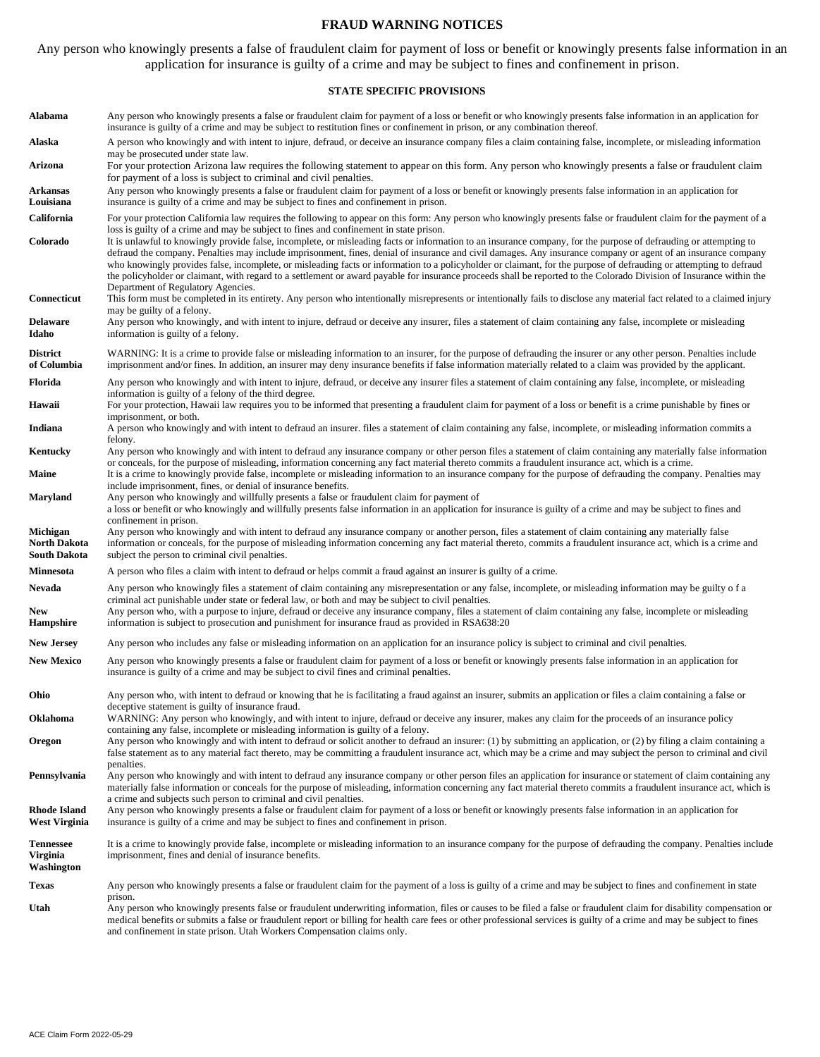#### **FRAUD WARNING NOTICES**

Any person who knowingly presents a false of fraudulent claim for payment of loss or benefit or knowingly presents false information in an application for insurance is guilty of a crime and may be subject to fines and confinement in prison.

### **STATE SPECIFIC PROVISIONS**

| Alabama                                     | Any person who knowingly presents a false or fraudulent claim for payment of a loss or benefit or who knowingly presents false information in an application for<br>insurance is guilty of a crime and may be subject to restitution fines or confinement in prison, or any combination thereof.                                                                                                                                                                                                                                                                                                                                                                                                                                                                                                                 |
|---------------------------------------------|------------------------------------------------------------------------------------------------------------------------------------------------------------------------------------------------------------------------------------------------------------------------------------------------------------------------------------------------------------------------------------------------------------------------------------------------------------------------------------------------------------------------------------------------------------------------------------------------------------------------------------------------------------------------------------------------------------------------------------------------------------------------------------------------------------------|
| Alaska                                      | A person who knowingly and with intent to injure, defraud, or deceive an insurance company files a claim containing false, incomplete, or misleading information<br>may be prosecuted under state law.                                                                                                                                                                                                                                                                                                                                                                                                                                                                                                                                                                                                           |
| Arizona                                     | For your protection Arizona law requires the following statement to appear on this form. Any person who knowingly presents a false or fraudulent claim<br>for payment of a loss is subject to criminal and civil penalties.                                                                                                                                                                                                                                                                                                                                                                                                                                                                                                                                                                                      |
| Arkansas<br>Louisiana                       | Any person who knowingly presents a false or fraudulent claim for payment of a loss or benefit or knowingly presents false information in an application for<br>insurance is guilty of a crime and may be subject to fines and confinement in prison.                                                                                                                                                                                                                                                                                                                                                                                                                                                                                                                                                            |
| California                                  | For your protection California law requires the following to appear on this form: Any person who knowingly presents false or fraudulent claim for the payment of a                                                                                                                                                                                                                                                                                                                                                                                                                                                                                                                                                                                                                                               |
| Colorado                                    | loss is guilty of a crime and may be subject to fines and confinement in state prison.<br>It is unlawful to knowingly provide false, incomplete, or misleading facts or information to an insurance company, for the purpose of defrauding or attempting to<br>defraud the company. Penalties may include imprisonment, fines, denial of insurance and civil damages. Any insurance company or agent of an insurance company<br>who knowingly provides false, incomplete, or misleading facts or information to a policyholder or claimant, for the purpose of defrauding or attempting to defraud<br>the policyholder or claimant, with regard to a settlement or award payable for insurance proceeds shall be reported to the Colorado Division of Insurance within the<br>Department of Regulatory Agencies. |
| Connecticut<br>Delaware                     | This form must be completed in its entirety. Any person who intentionally misrepresents or intentionally fails to disclose any material fact related to a claimed injury<br>may be guilty of a felony.<br>Any person who knowingly, and with intent to injure, defraud or deceive any insurer, files a statement of claim containing any false, incomplete or misleading                                                                                                                                                                                                                                                                                                                                                                                                                                         |
| Idaho                                       | information is guilty of a felony.                                                                                                                                                                                                                                                                                                                                                                                                                                                                                                                                                                                                                                                                                                                                                                               |
| <b>District</b><br>of Columbia              | WARNING: It is a crime to provide false or misleading information to an insurer, for the purpose of defrauding the insurer or any other person. Penalties include<br>imprisonment and/or fines. In addition, an insurer may deny insurance benefits if false information materially related to a claim was provided by the applicant.                                                                                                                                                                                                                                                                                                                                                                                                                                                                            |
| Florida                                     | Any person who knowingly and with intent to injure, defraud, or deceive any insurer files a statement of claim containing any false, incomplete, or misleading<br>information is guilty of a felony of the third degree.                                                                                                                                                                                                                                                                                                                                                                                                                                                                                                                                                                                         |
| Hawaii                                      | For your protection, Hawaii law requires you to be informed that presenting a fraudulent claim for payment of a loss or benefit is a crime punishable by fines or<br>imprisonment, or both.                                                                                                                                                                                                                                                                                                                                                                                                                                                                                                                                                                                                                      |
| Indiana                                     | A person who knowingly and with intent to defraud an insurer. files a statement of claim containing any false, incomplete, or misleading information commits a<br>felony.                                                                                                                                                                                                                                                                                                                                                                                                                                                                                                                                                                                                                                        |
| Kentucky                                    | Any person who knowingly and with intent to defraud any insurance company or other person files a statement of claim containing any materially false information<br>or conceals, for the purpose of misleading, information concerning any fact material thereto commits a fraudulent insurance act, which is a crime.                                                                                                                                                                                                                                                                                                                                                                                                                                                                                           |
| Maine                                       | It is a crime to knowingly provide false, incomplete or misleading information to an insurance company for the purpose of defrauding the company. Penalties may<br>include imprisonment, fines, or denial of insurance benefits.                                                                                                                                                                                                                                                                                                                                                                                                                                                                                                                                                                                 |
| Maryland                                    | Any person who knowingly and willfully presents a false or fraudulent claim for payment of<br>a loss or benefit or who knowingly and willfully presents false information in an application for insurance is guilty of a crime and may be subject to fines and                                                                                                                                                                                                                                                                                                                                                                                                                                                                                                                                                   |
| Michigan<br>North Dakota<br>South Dakota    | confinement in prison.<br>Any person who knowingly and with intent to defraud any insurance company or another person, files a statement of claim containing any materially false<br>information or conceals, for the purpose of misleading information concerning any fact material thereto, commits a fraudulent insurance act, which is a crime and<br>subject the person to criminal civil penalties.                                                                                                                                                                                                                                                                                                                                                                                                        |
| <b>Minnesota</b>                            | A person who files a claim with intent to defraud or helps commit a fraud against an insurer is guilty of a crime.                                                                                                                                                                                                                                                                                                                                                                                                                                                                                                                                                                                                                                                                                               |
| Nevada<br>New                               | Any person who knowingly files a statement of claim containing any misrepresentation or any false, incomplete, or misleading information may be guilty of a<br>criminal act punishable under state or federal law, or both and may be subject to civil penalties.<br>Any person who, with a purpose to injure, defraud or deceive any insurance company, files a statement of claim containing any false, incomplete or misleading                                                                                                                                                                                                                                                                                                                                                                               |
| Hampshire                                   | information is subject to prosecution and punishment for insurance fraud as provided in RSA638:20                                                                                                                                                                                                                                                                                                                                                                                                                                                                                                                                                                                                                                                                                                                |
| <b>New Jersey</b>                           | Any person who includes any false or misleading information on an application for an insurance policy is subject to criminal and civil penalties.                                                                                                                                                                                                                                                                                                                                                                                                                                                                                                                                                                                                                                                                |
| <b>New Mexico</b>                           | Any person who knowingly presents a false or fraudulent claim for payment of a loss or benefit or knowingly presents false information in an application for<br>insurance is guilty of a crime and may be subject to civil fines and criminal penalties.                                                                                                                                                                                                                                                                                                                                                                                                                                                                                                                                                         |
| Ohio                                        | Any person who, with intent to defraud or knowing that he is facilitating a fraud against an insurer, submits an application or files a claim containing a false or<br>deceptive statement is guilty of insurance fraud.                                                                                                                                                                                                                                                                                                                                                                                                                                                                                                                                                                                         |
| Oklahoma                                    | WARNING: Any person who knowingly, and with intent to injure, defraud or deceive any insurer, makes any claim for the proceeds of an insurance policy<br>containing any false, incomplete or misleading information is guilty of a felony.                                                                                                                                                                                                                                                                                                                                                                                                                                                                                                                                                                       |
| Oregon                                      | Any person who knowingly and with intent to defraud or solicit another to defraud an insurer: (1) by submitting an application, or (2) by filing a claim containing a<br>false statement as to any material fact thereto, may be committing a fraudulent insurance act, which may be a crime and may subject the person to criminal and civil<br>penalties.                                                                                                                                                                                                                                                                                                                                                                                                                                                      |
| Pennsylvania                                | Any person who knowingly and with intent to defraud any insurance company or other person files an application for insurance or statement of claim containing any<br>materially false information or conceals for the purpose of misleading, information concerning any fact material thereto commits a fraudulent insurance act, which is<br>a crime and subjects such person to criminal and civil penalties.                                                                                                                                                                                                                                                                                                                                                                                                  |
| <b>Rhode Island</b><br><b>West Virginia</b> | Any person who knowingly presents a false or fraudulent claim for payment of a loss or benefit or knowingly presents false information in an application for<br>insurance is guilty of a crime and may be subject to fines and confinement in prison.                                                                                                                                                                                                                                                                                                                                                                                                                                                                                                                                                            |
| <b>Tennessee</b><br>Virginia<br>Washington  | It is a crime to knowingly provide false, incomplete or misleading information to an insurance company for the purpose of defrauding the company. Penalties include<br>imprisonment, fines and denial of insurance benefits.                                                                                                                                                                                                                                                                                                                                                                                                                                                                                                                                                                                     |
| Texas                                       | Any person who knowingly presents a false or fraudulent claim for the payment of a loss is guilty of a crime and may be subject to fines and confinement in state                                                                                                                                                                                                                                                                                                                                                                                                                                                                                                                                                                                                                                                |
| Utah                                        | prison.<br>Any person who knowingly presents false or fraudulent underwriting information, files or causes to be filed a false or fraudulent claim for disability compensation or<br>medical benefits or submits a false or fraudulent report or billing for health care fees or other professional services is guilty of a crime and may be subject to fines<br>and confinement in state prison. Utah Workers Compensation claims only.                                                                                                                                                                                                                                                                                                                                                                         |